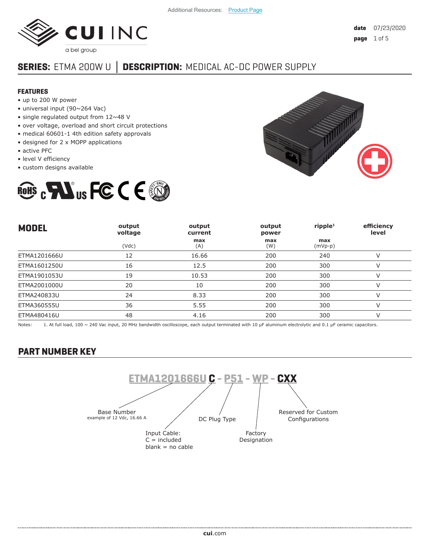

# **SERIES:** ETMA 200W U **│ DESCRIPTION:** MEDICAL AC-DC POWER SUPPLY

#### **FEATURES**

- up to 200 W power
- universal input (90~264 Vac)
- single regulated output from 12~48 V
- over voltage, overload and short circuit protections
- medical 60601-1 4th edition safety approvals
- designed for 2 x MOPP applications
- active PFC
- level V efficiency
- custom designs available





| <b>MODEL</b> | output<br>voltage | output<br>current | output<br>power | ripple <sup>1</sup> | efficiency<br>level |
|--------------|-------------------|-------------------|-----------------|---------------------|---------------------|
|              | (Vdc)             | max<br>(A)        | max<br>(W)      | max<br>$(mVp-p)$    |                     |
| ETMA1201666U | 12                | 16.66             | 200             | 240                 | v                   |
| ETMA1601250U | 16                | 12.5              | 200             | 300                 | V                   |
| ETMA1901053U | 19                | 10.53             | 200             | 300                 | V                   |
| ETMA2001000U | 20                | 10                | 200             | 300                 | V                   |
| ETMA240833U  | 24                | 8.33              | 200             | 300                 | ν                   |
| ETMA360555U  | 36                | 5.55              | 200             | 300                 | V                   |
| ETMA480416U  | 48                | 4.16              | 200             | 300                 | $\vee$              |

Notes: 1. At full load, 100 ~ 240 Vac input, 20 MHz bandwidth oscilloscope, each output terminated with 10 µF aluminum electrolytic and 0.1 µF ceramic capacitors.

### **PART NUMBER KEY**

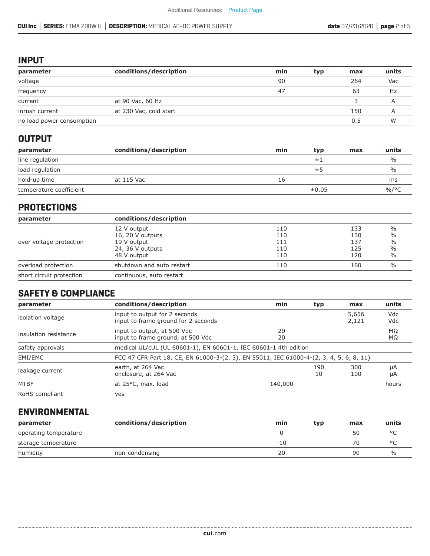### **INPUT**

| parameter                 | conditions/description | min | typ | max | units |
|---------------------------|------------------------|-----|-----|-----|-------|
| voltage                   |                        | 90  |     | 264 | Vac   |
| frequency                 |                        | 47  |     | 63  | Hz    |
| current                   | at 90 Vac, 60 Hz       |     |     |     |       |
| inrush current            | at 230 Vac, cold start |     |     | 150 |       |
| no load power consumption |                        |     |     | 0.5 | W     |

### **OUTPUT**

| parameter               | conditions/description | min | typ   | max | units         |
|-------------------------|------------------------|-----|-------|-----|---------------|
| line regulation         |                        |     | 主.    |     | $\frac{0}{0}$ |
| load regulation         |                        |     | ±5    |     | $\frac{0}{0}$ |
| hold-up time            | at 115 Vac             | 16  |       |     | ms            |
| temperature coefficient |                        |     | ±0.05 |     | %/°C          |

### **PROTECTIONS**

| parameter                | conditions/description    |     |     |               |
|--------------------------|---------------------------|-----|-----|---------------|
|                          | 12 V output               | 110 | 133 | $\frac{0}{0}$ |
|                          | 16, 20 V outputs          | 110 | 130 | $\frac{0}{0}$ |
| over voltage protection  | 19 V output               | 111 | 137 | $\frac{0}{0}$ |
|                          | 24, 36 V outputs          | 110 | 125 | $\frac{0}{0}$ |
|                          | 48 V output               | 110 | 120 | $\%$          |
| overload protection      | shutdown and auto restart | 110 | 160 | $\frac{0}{0}$ |
| short circuit protection | continuous, auto restart  |     |     |               |

# **SAFETY & COMPLIANCE**

| parameter             | conditions/description                                                                  | min      | typ       | max            | units      |
|-----------------------|-----------------------------------------------------------------------------------------|----------|-----------|----------------|------------|
| isolation voltage     | input to output for 2 seconds<br>input to frame ground for 2 seconds                    |          |           | 5,656<br>2,121 | Vdc<br>Vdc |
| insulation resistance | input to output, at 500 Vdc<br>input to frame ground, at 500 Vdc                        | 20<br>20 |           |                | MΩ<br>ΜΩ   |
| safety approvals      | medical UL/cUL (UL 60601-1), EN 60601-1, IEC 60601-1 4th edition                        |          |           |                |            |
| EMI/EMC               | FCC 47 CFR Part 18, CE, EN 61000-3-(2, 3), EN 55011, IEC 61000-4-(2, 3, 4, 5, 6, 8, 11) |          |           |                |            |
| leakage current       | earth, at 264 Vac<br>enclosure, at 264 Vac                                              |          | 190<br>10 | 300<br>100     | μA<br>μA   |
| <b>MTBF</b>           | at 25°C, max. load                                                                      | 140,000  |           |                | hours      |
| RoHS compliant        | yes                                                                                     |          |           |                |            |

# **ENVIRONMENTAL**

| parameter             | conditions/description | min | tvp | max | units         |
|-----------------------|------------------------|-----|-----|-----|---------------|
| operating temperature |                        |     |     | 50  |               |
| storage temperature   |                        | -10 |     | 70  |               |
| humidity              | non-condensing         | 20  |     | 90  | $\frac{1}{2}$ |

......................................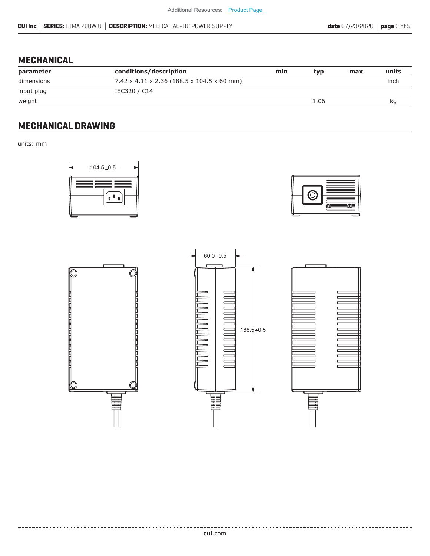# **MECHANICAL**

| parameter  | conditions/description                                 | min | tvp  | max | units |
|------------|--------------------------------------------------------|-----|------|-----|-------|
| dimensions | $7.42 \times 4.11 \times 2.36$ (188.5 x 104.5 x 60 mm) |     |      |     | inch  |
| input plug | IEC320 / C14                                           |     |      |     |       |
| weight     |                                                        |     | 1.06 |     | ĸq    |

# **MECHANICAL DRAWING**

units: mm









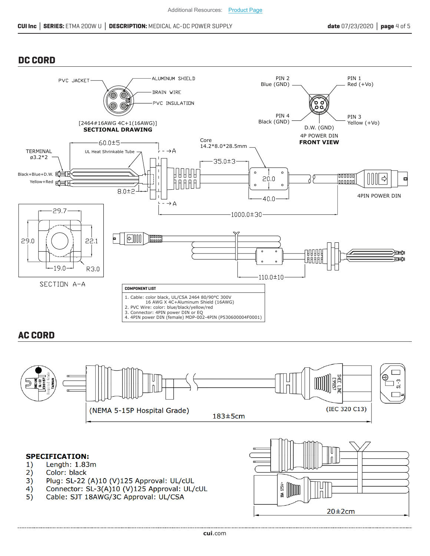$20\pm2cm$ 

### **DC CORD**



#### **AC CORD**